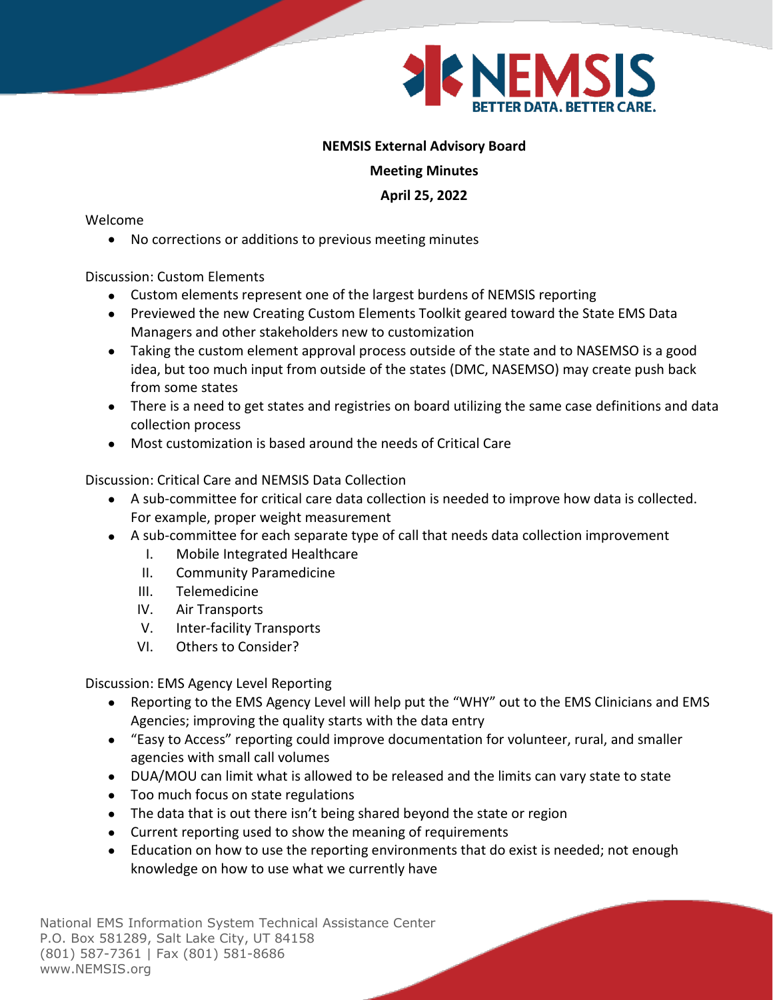

## **NEMSIS External Advisory Board**

**Meeting Minutes**

**April 25, 2022**

Welcome

• No corrections or additions to previous meeting minutes

Discussion: Custom Elements

- Custom elements represent one of the largest burdens of NEMSIS reporting
- Previewed the new Creating Custom Elements Toolkit geared toward the State EMS Data Managers and other stakeholders new to customization
- Taking the custom element approval process outside of the state and to NASEMSO is a good idea, but too much input from outside of the states (DMC, NASEMSO) may create push back from some states
- There is a need to get states and registries on board utilizing the same case definitions and data collection process
- Most customization is based around the needs of Critical Care

Discussion: Critical Care and NEMSIS Data Collection

- A sub-committee for critical care data collection is needed to improve how data is collected. For example, proper weight measurement
- A sub-committee for each separate type of call that needs data collection improvement
	- I. Mobile Integrated Healthcare
	- II. Community Paramedicine
	- III. Telemedicine
	- IV. Air Transports
	- V. Inter-facility Transports
	- VI. Others to Consider?

Discussion: EMS Agency Level Reporting

- Reporting to the EMS Agency Level will help put the "WHY" out to the EMS Clinicians and EMS Agencies; improving the quality starts with the data entry
- "Easy to Access" reporting could improve documentation for volunteer, rural, and smaller agencies with small call volumes
- DUA/MOU can limit what is allowed to be released and the limits can vary state to state
- Too much focus on state regulations
- The data that is out there isn't being shared beyond the state or region
- Current reporting used to show the meaning of requirements
- Education on how to use the reporting environments that do exist is needed; not enough knowledge on how to use what we currently have

National EMS Information System Technical Assistance Center P.O. Box 581289, Salt Lake City, UT 84158 (801) 587-7361 | Fax (801) 581-8686 www.NEMSIS.org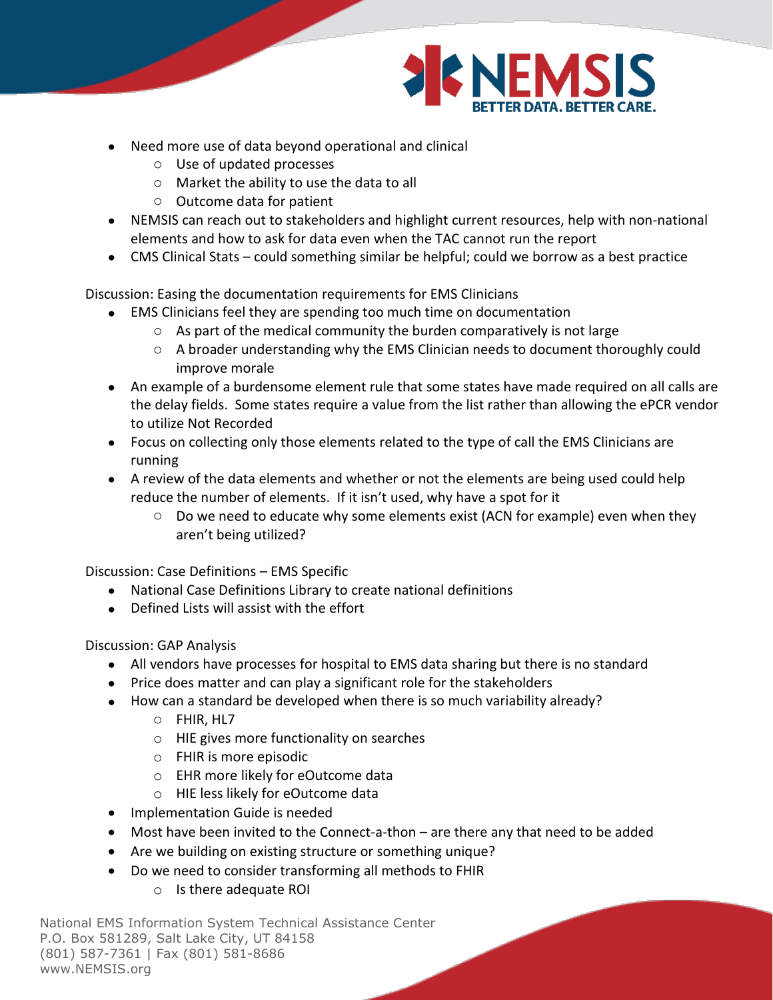

- Need more use of data beyond operational and clinical
	- o Use of updated processes
	- o Market the ability to use the data to all
	- o Outcome data for patient
- NEMSIS can reach out to stakeholders and highlight current resources, help with non-national elements and how to ask for data even when the TAC cannot run the report
- CMS Clinical Stats could something similar be helpful; could we borrow as a best practice

Discussion: Easing the documentation requirements for EMS Clinicians

- EMS Clinicians feel they are spending too much time on documentation
	- o As part of the medical community the burden comparatively is not large
	- $\circ$  A broader understanding why the EMS Clinician needs to document thoroughly could improve morale
- An example of a burdensome element rule that some states have made required on all calls are the delay fields. Some states require a value from the list rather than allowing the ePCR vendor to utilize Not Recorded
- Focus on collecting only those elements related to the type of call the EMS Clinicians are running
- A review of the data elements and whether or not the elements are being used could help reduce the number of elements. If it isn't used, why have a spot for it
	- $\circ$  Do we need to educate why some elements exist (ACN for example) even when they aren't being utilized?

Discussion: Case Definitions – EMS Specific

- National Case Definitions Library to create national definitions
- Defined Lists will assist with the effort

Discussion: GAP Analysis

- All vendors have processes for hospital to EMS data sharing but there is no standard
- Price does matter and can play a significant role for the stakeholders
- How can a standard be developed when there is so much variability already?
	- o FHIR, HL7
	- o HIE gives more functionality on searches
	- o FHIR is more episodic
	- o EHR more likely for eOutcome data
	- o HIE less likely for eOutcome data
- Implementation Guide is needed
- Most have been invited to the Connect-a-thon are there any that need to be added
- Are we building on existing structure or something unique?
- Do we need to consider transforming all methods to FHIR
	- o Is there adequate ROI

National EMS Information System Technical Assistance Center P.O. Box 581289, Salt Lake City, UT 84158 (801) 587-7361 | Fax (801) 581-8686 www.NEMSIS.org